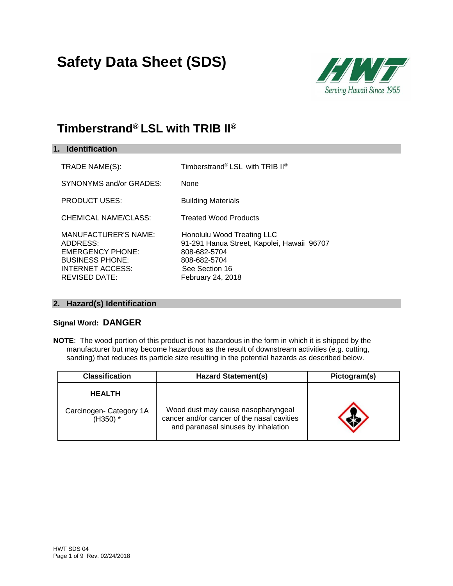# **Safety Data Sheet (SDS)**



### **Timberstrand® LSL with TRIB II®**

| 1. Identification                                                                                                                               |                                                                                                                                                 |
|-------------------------------------------------------------------------------------------------------------------------------------------------|-------------------------------------------------------------------------------------------------------------------------------------------------|
| TRADE NAME(S):                                                                                                                                  | Timberstrand® LSL with TRIB II®                                                                                                                 |
| SYNONYMS and/or GRADES:                                                                                                                         | <b>None</b>                                                                                                                                     |
| <b>PRODUCT USES:</b>                                                                                                                            | <b>Building Materials</b>                                                                                                                       |
| <b>CHEMICAL NAME/CLASS:</b>                                                                                                                     | <b>Treated Wood Products</b>                                                                                                                    |
| <b>MANUFACTURER'S NAME:</b><br>ADDRESS:<br><b>EMERGENCY PHONE:</b><br><b>BUSINESS PHONE:</b><br><b>INTERNET ACCESS:</b><br><b>REVISED DATE:</b> | Honolulu Wood Treating LLC<br>91-291 Hanua Street, Kapolei, Hawaii 96707<br>808-682-5704<br>808-682-5704<br>See Section 16<br>February 24, 2018 |

#### **2. Hazard(s) Identification**

#### **Signal Word: DANGER**

**NOTE**: The wood portion of this product is not hazardous in the form in which it is shipped by the manufacturer but may become hazardous as the result of downstream activities (e.g. cutting, sanding) that reduces its particle size resulting in the potential hazards as described below.

| <b>Classification</b>                 | <b>Hazard Statement(s)</b>                                                                                              | Pictogram(s) |  |
|---------------------------------------|-------------------------------------------------------------------------------------------------------------------------|--------------|--|
| <b>HEALTH</b>                         |                                                                                                                         |              |  |
| Carcinogen- Category 1A<br>$(H350)$ * | Wood dust may cause nasopharyngeal<br>cancer and/or cancer of the nasal cavities<br>and paranasal sinuses by inhalation |              |  |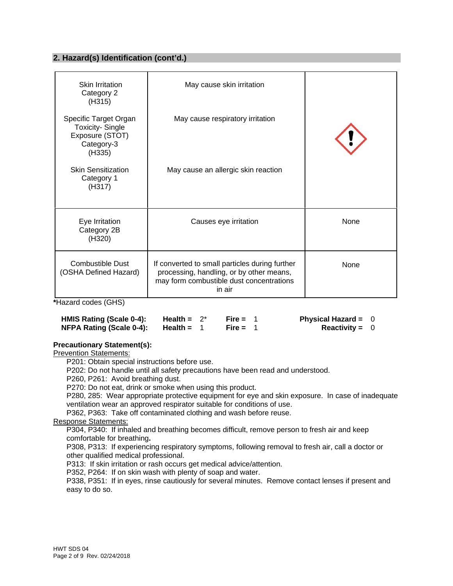#### **2. Hazard(s) Identification (cont'd.)**

| Skin Irritation<br>Category 2<br>(H315)                                                    | May cause skin irritation                                                                                                                        |      |
|--------------------------------------------------------------------------------------------|--------------------------------------------------------------------------------------------------------------------------------------------------|------|
| Specific Target Organ<br><b>Toxicity-Single</b><br>Exposure (STOT)<br>Category-3<br>(H335) | May cause respiratory irritation                                                                                                                 |      |
| <b>Skin Sensitization</b><br>Category 1<br>(H317)                                          | May cause an allergic skin reaction                                                                                                              |      |
| Eye Irritation<br>Category 2B<br>(H320)                                                    | Causes eye irritation                                                                                                                            | None |
| <b>Combustible Dust</b><br>(OSHA Defined Hazard)                                           | If converted to small particles during further<br>processing, handling, or by other means,<br>may form combustible dust concentrations<br>in air | None |

**\***Hazard codes (GHS)

| HMIS Rating (Scale 0-4):        | Health = $2^*$ | Fire = $1$ | <b>Physical Hazard =</b> |  |
|---------------------------------|----------------|------------|--------------------------|--|
| <b>NFPA Rating (Scale 0-4):</b> | Health $=$     | Fire = $1$ | <b>Reactivity = 0</b>    |  |

#### **Precautionary Statement(s):**

Prevention Statements:

P201: Obtain special instructions before use.

P202: Do not handle until all safety precautions have been read and understood.

P260, P261: Avoid breathing dust.

P270: Do not eat, drink or smoke when using this product.

P280, 285: Wear appropriate protective equipment for eye and skin exposure. In case of inadequate ventilation wear an approved respirator suitable for conditions of use.

P362, P363: Take off contaminated clothing and wash before reuse.

Response Statements:

P304, P340: If inhaled and breathing becomes difficult, remove person to fresh air and keep comfortable for breathing**.** 

P308, P313: If experiencing respiratory symptoms, following removal to fresh air, call a doctor or other qualified medical professional.

P313: If skin irritation or rash occurs get medical advice/attention.

P352, P264: If on skin wash with plenty of soap and water.

P338, P351: If in eyes, rinse cautiously for several minutes. Remove contact lenses if present and easy to do so.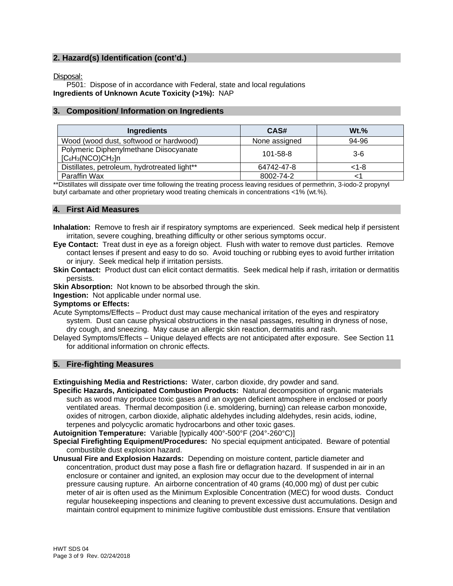#### **2. Hazard(s) Identification (cont'd.)**

Disposal:

P501: Dispose of in accordance with Federal, state and local regulations **Ingredients of Unknown Acute Toxicity (>1%):** NAP

#### **3. Composition/ Information on Ingredients**

| <b>Ingredients</b>                                             | CAS#          | $Wt.$ % |
|----------------------------------------------------------------|---------------|---------|
| Wood (wood dust, softwood or hardwood)                         | None assigned | 94-96   |
| Polymeric Diphenylmethane Diisocyanate<br>$[C_6H_3(NCO)CH_2]n$ | 101-58-8      | $3-6$   |
| Distillates, petroleum, hydrotreated light**                   | 64742-47-8    | <1-8    |
| Paraffin Wax                                                   | 8002-74-2     |         |

\*\*Distillates will dissipate over time following the treating process leaving residues of permethrin, 3-iodo-2 propynyl butyl carbamate and other proprietary wood treating chemicals in concentrations <1% (wt.%).

#### **4. First Aid Measures**

- **Inhalation:** Remove to fresh air if respiratory symptoms are experienced. Seek medical help if persistent irritation, severe coughing, breathing difficulty or other serious symptoms occur.
- **Eye Contact:** Treat dust in eye as a foreign object. Flush with water to remove dust particles. Remove contact lenses if present and easy to do so. Avoid touching or rubbing eyes to avoid further irritation or injury. Seek medical help if irritation persists.
- **Skin Contact:** Product dust can elicit contact dermatitis. Seek medical help if rash, irritation or dermatitis persists.
- **Skin Absorption:** Not known to be absorbed through the skin.

**Ingestion:** Not applicable under normal use.

**Symptoms or Effects:** 

- Acute Symptoms/Effects Product dust may cause mechanical irritation of the eyes and respiratory system. Dust can cause physical obstructions in the nasal passages, resulting in dryness of nose, dry cough, and sneezing. May cause an allergic skin reaction, dermatitis and rash.
- Delayed Symptoms/Effects Unique delayed effects are not anticipated after exposure. See Section 11 for additional information on chronic effects.

#### **5. Fire-fighting Measures**

**Extinguishing Media and Restrictions:** Water, carbon dioxide, dry powder and sand.

**Specific Hazards, Anticipated Combustion Products:** Natural decomposition of organic materials such as wood may produce toxic gases and an oxygen deficient atmosphere in enclosed or poorly ventilated areas. Thermal decomposition (i.e. smoldering, burning) can release carbon monoxide, oxides of nitrogen, carbon dioxide, aliphatic aldehydes including aldehydes, resin acids, iodine, terpenes and polycyclic aromatic hydrocarbons and other toxic gases.

**Autoignition Temperature:** Variable [typically 400°-500°F (204°-260°C)]

**Special Firefighting Equipment/Procedures:** No special equipment anticipated. Beware of potential combustible dust explosion hazard.

**Unusual Fire and Explosion Hazards:** Depending on moisture content, particle diameter and concentration, product dust may pose a flash fire or deflagration hazard. If suspended in air in an enclosure or container and ignited, an explosion may occur due to the development of internal pressure causing rupture. An airborne concentration of 40 grams (40,000 mg) of dust per cubic meter of air is often used as the Minimum Explosible Concentration (MEC) for wood dusts. Conduct regular housekeeping inspections and cleaning to prevent excessive dust accumulations. Design and maintain control equipment to minimize fugitive combustible dust emissions. Ensure that ventilation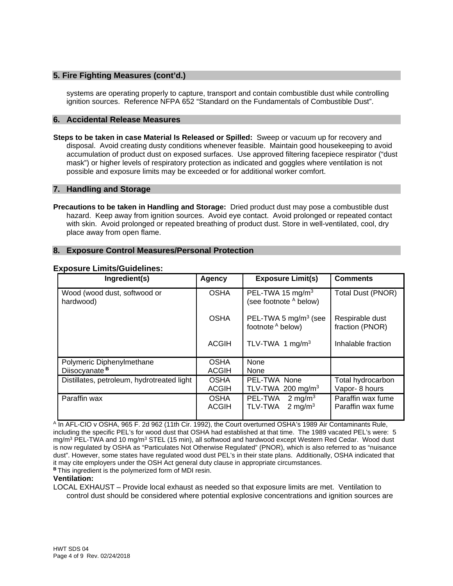#### **5. Fire Fighting Measures (cont'd.)**

systems are operating properly to capture, transport and contain combustible dust while controlling ignition sources. Reference NFPA 652 "Standard on the Fundamentals of Combustible Dust".

#### **6. Accidental Release Measures**

**Steps to be taken in case Material Is Released or Spilled:** Sweep or vacuum up for recovery and disposal. Avoid creating dusty conditions whenever feasible. Maintain good housekeeping to avoid accumulation of product dust on exposed surfaces. Use approved filtering facepiece respirator ("dust mask") or higher levels of respiratory protection as indicated and goggles where ventilation is not possible and exposure limits may be exceeded or for additional worker comfort.

#### **7. Handling and Storage**

**Precautions to be taken in Handling and Storage:** Dried product dust may pose a combustible dust hazard. Keep away from ignition sources. Avoid eye contact. Avoid prolonged or repeated contact with skin. Avoid prolonged or repeated breathing of product dust. Store in well-ventilated, cool, dry place away from open flame.

#### **8. Exposure Control Measures/Personal Protection**

| Ingredient(s)                              | <b>Agency</b>               | <b>Exposure Limit(s)</b>                              | <b>Comments</b>                        |
|--------------------------------------------|-----------------------------|-------------------------------------------------------|----------------------------------------|
| Wood (wood dust, softwood or<br>hardwood)  | <b>OSHA</b>                 | PEL-TWA 15 $mg/m3$<br>(see footnote A below)          | Total Dust (PNOR)                      |
|                                            | <b>OSHA</b>                 | PEL-TWA 5 $mg/m3$ (see<br>footnote A below)           | Respirable dust<br>fraction (PNOR)     |
|                                            | <b>ACGIH</b>                | TLV-TWA 1 $mg/m3$                                     | Inhalable fraction                     |
| Polymeric Diphenylmethane                  | <b>OSHA</b>                 | None                                                  |                                        |
| Diisocyanate <sup>B</sup>                  | <b>ACGIH</b>                | None                                                  |                                        |
| Distillates, petroleum, hydrotreated light | <b>OSHA</b>                 | PEL-TWA None                                          | Total hydrocarbon                      |
|                                            | <b>ACGIH</b>                | TLV-TWA 200 mg/m <sup>3</sup>                         | Vapor-8 hours                          |
| Paraffin wax                               | <b>OSHA</b><br><b>ACGIH</b> | PEL-TWA<br>2 mg/m $3$<br>2 mg/m $3$<br><b>TLV-TWA</b> | Paraffin wax fume<br>Paraffin wax fume |

#### **Exposure Limits/Guidelines:**

A In AFL-CIO v OSHA, 965 F. 2d 962 (11th Cir. 1992), the Court overturned OSHA's 1989 Air Contaminants Rule, including the specific PEL's for wood dust that OSHA had established at that time. The 1989 vacated PEL's were: 5 mg/m<sup>3</sup> PEL-TWA and 10 mg/m<sup>3</sup> STEL (15 min), all softwood and hardwood except Western Red Cedar. Wood dust is now regulated by OSHA as "Particulates Not Otherwise Regulated" (PNOR), which is also referred to as "nuisance dust". However, some states have regulated wood dust PEL's in their state plans. Additionally, OSHA indicated that it may cite employers under the OSH Act general duty clause in appropriate circumstances. **<sup>B</sup>**This ingredient is the polymerized form of MDI resin.

#### **Ventilation:**

LOCAL EXHAUST – Provide local exhaust as needed so that exposure limits are met. Ventilation to control dust should be considered where potential explosive concentrations and ignition sources are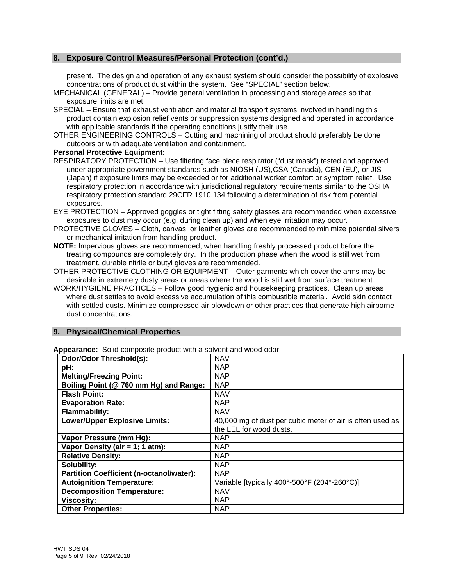#### **8. Exposure Control Measures/Personal Protection (cont'd.)**

present. The design and operation of any exhaust system should consider the possibility of explosive concentrations of product dust within the system. See "SPECIAL" section below.

- MECHANICAL (GENERAL) Provide general ventilation in processing and storage areas so that exposure limits are met.
- SPECIAL Ensure that exhaust ventilation and material transport systems involved in handling this product contain explosion relief vents or suppression systems designed and operated in accordance with applicable standards if the operating conditions justify their use.
- OTHER ENGINEERING CONTROLS Cutting and machining of product should preferably be done outdoors or with adequate ventilation and containment.

#### **Personal Protective Equipment:**

- RESPIRATORY PROTECTION Use filtering face piece respirator ("dust mask") tested and approved under appropriate government standards such as NIOSH (US),CSA (Canada), CEN (EU), or JIS (Japan) if exposure limits may be exceeded or for additional worker comfort or symptom relief. Use respiratory protection in accordance with jurisdictional regulatory requirements similar to the OSHA respiratory protection standard 29CFR 1910.134 following a determination of risk from potential exposures.
- EYE PROTECTION Approved goggles or tight fitting safety glasses are recommended when excessive exposures to dust may occur (e.g. during clean up) and when eye irritation may occur.
- PROTECTIVE GLOVES Cloth, canvas, or leather gloves are recommended to minimize potential slivers or mechanical irritation from handling product.
- **NOTE:** Impervious gloves are recommended, when handling freshly processed product before the treating compounds are completely dry. In the production phase when the wood is still wet from treatment, durable nitrile or butyl gloves are recommended.
- OTHER PROTECTIVE CLOTHING OR EQUIPMENT Outer garments which cover the arms may be desirable in extremely dusty areas or areas where the wood is still wet from surface treatment.
- WORK/HYGIENE PRACTICES Follow good hygienic and housekeeping practices. Clean up areas where dust settles to avoid excessive accumulation of this combustible material. Avoid skin contact with settled dusts. Minimize compressed air blowdown or other practices that generate high airbornedust concentrations.

#### **9. Physical/Chemical Properties**

| Odor/Odor Threshold(s):                         | <b>NAV</b>                                                |
|-------------------------------------------------|-----------------------------------------------------------|
| pH:                                             | <b>NAP</b>                                                |
| <b>Melting/Freezing Point:</b>                  | <b>NAP</b>                                                |
| Boiling Point (@ 760 mm Hg) and Range:          | <b>NAP</b>                                                |
| <b>Flash Point:</b>                             | <b>NAV</b>                                                |
| <b>Evaporation Rate:</b>                        | <b>NAP</b>                                                |
| <b>Flammability:</b>                            | <b>NAV</b>                                                |
| <b>Lower/Upper Explosive Limits:</b>            | 40,000 mg of dust per cubic meter of air is often used as |
|                                                 | the LEL for wood dusts.                                   |
| Vapor Pressure (mm Hg):                         | <b>NAP</b>                                                |
| Vapor Density (air = 1; 1 atm):                 | <b>NAP</b>                                                |
| <b>Relative Density:</b>                        | <b>NAP</b>                                                |
| Solubility:                                     | <b>NAP</b>                                                |
| <b>Partition Coefficient (n-octanol/water):</b> | <b>NAP</b>                                                |
| <b>Autoignition Temperature:</b>                | Variable [typically 400°-500°F (204°-260°C)]              |
| <b>Decomposition Temperature:</b>               | <b>NAV</b>                                                |
| <b>Viscosity:</b>                               | <b>NAP</b>                                                |
| <b>Other Properties:</b>                        | <b>NAP</b>                                                |

**Appearance:** Solid composite product with a solvent and wood odor.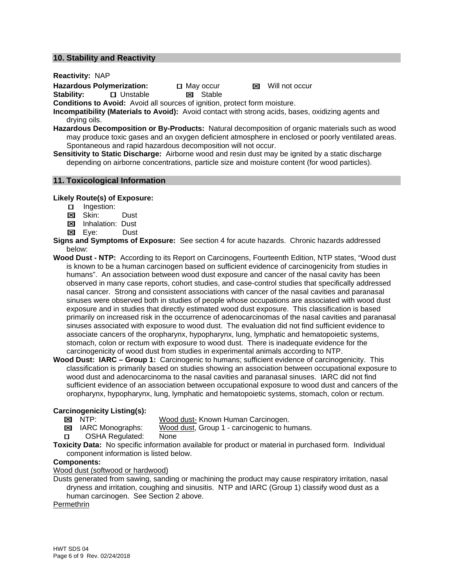#### **10. Stability and Reactivity**

**Reactivity:** NAP

Hazardous Polymerization: **D** May occur **Manual Manual Manual Manual Manual Manual Manual Manual Manual Manual Manual Manual Manual Manual Manual Manual Manual Manual Manual Manual Manual Manual Manual Manual Manual Manua** 

**Stability: □ Unstable ■ Stable** 

**Conditions to Avoid:** Avoid all sources of ignition, protect form moisture.

**Incompatibility (Materials to Avoid):** Avoid contact with strong acids, bases, oxidizing agents and drying oils.

**Hazardous Decomposition or By-Products:** Natural decomposition of organic materials such as wood may produce toxic gases and an oxygen deficient atmosphere in enclosed or poorly ventilated areas. Spontaneous and rapid hazardous decomposition will not occur.

**Sensitivity to Static Discharge:** Airborne wood and resin dust may be ignited by a static discharge depending on airborne concentrations, particle size and moisture content (for wood particles).

#### **11. Toxicological Information**

#### **Likely Route(s) of Exposure:**

- □ Ingestion:
- **Ex** Skin: Dust
- **Ed Inhalation: Dust**
- Eye:Dust
- **Signs and Symptoms of Exposure:** See section 4 for acute hazards. Chronic hazards addressed below:
- **Wood Dust NTP:** According to its Report on Carcinogens, Fourteenth Edition, NTP states, "Wood dust is known to be a human carcinogen based on sufficient evidence of carcinogenicity from studies in humans". An association between wood dust exposure and cancer of the nasal cavity has been observed in many case reports, cohort studies, and case-control studies that specifically addressed nasal cancer. Strong and consistent associations with cancer of the nasal cavities and paranasal sinuses were observed both in studies of people whose occupations are associated with wood dust exposure and in studies that directly estimated wood dust exposure. This classification is based primarily on increased risk in the occurrence of adenocarcinomas of the nasal cavities and paranasal sinuses associated with exposure to wood dust. The evaluation did not find sufficient evidence to associate cancers of the oropharynx, hypopharynx, lung, lymphatic and hematopoietic systems, stomach, colon or rectum with exposure to wood dust. There is inadequate evidence for the carcinogenicity of wood dust from studies in experimental animals according to NTP.
- **Wood Dust: IARC Group 1:** Carcinogenic to humans; sufficient evidence of carcinogenicity. This classification is primarily based on studies showing an association between occupational exposure to wood dust and adenocarcinoma to the nasal cavities and paranasal sinuses. IARC did not find sufficient evidence of an association between occupational exposure to wood dust and cancers of the oropharynx, hypopharynx, lung, lymphatic and hematopoietic systems, stomach, colon or rectum.

## **Carcinogenicity Listing(s):**<br> **EX** NTP:

Wood dust- Known Human Carcinogen.

- **E** IARC Monographs: Wood dust, Group 1 carcinogenic to humans.
- OSHA Regulated: None

**Toxicity Data:** No specific information available for product or material in purchased form. Individual component information is listed below.

#### **Components:**

Wood dust (softwood or hardwood)

Dusts generated from sawing, sanding or machining the product may cause respiratory irritation, nasal dryness and irritation, coughing and sinusitis. NTP and IARC (Group 1) classify wood dust as a human carcinogen. See Section 2 above.

Permethrin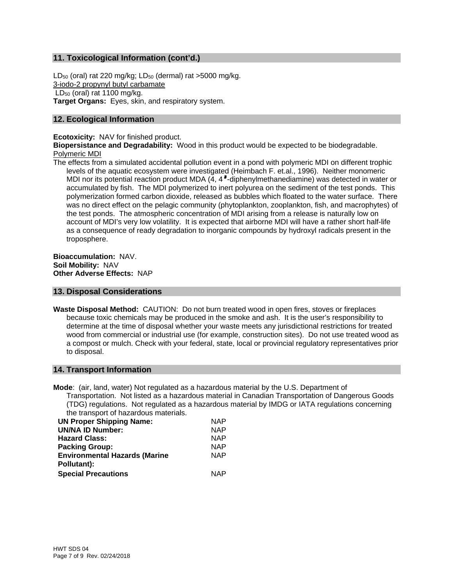#### **11. Toxicological Information (cont'd.)**

 $LD_{50}$  (oral) rat 220 mg/kg;  $LD_{50}$  (dermal) rat >5000 mg/kg. 3-iodo-2 propynyl butyl carbamate  $LD_{50}$  (oral) rat 1100 mg/kg. **Target Organs:** Eyes, skin, and respiratory system.

#### **12. Ecological Information**

**Ecotoxicity:** NAV for finished product.

**Biopersistance and Degradability:** Wood in this product would be expected to be biodegradable. Polymeric MDI

The effects from a simulated accidental pollution event in a pond with polymeric MDI on different trophic levels of the aquatic ecosystem were investigated (Heimbach F. et.al., 1996). Neither monomeric MDI nor its potential reaction product MDA (4, 4 -diphenylmethanediamine) was detected in water or accumulated by fish. The MDI polymerized to inert polyurea on the sediment of the test ponds. This polymerization formed carbon dioxide, released as bubbles which floated to the water surface. There was no direct effect on the pelagic community (phytoplankton, zooplankton, fish, and macrophytes) of the test ponds. The atmospheric concentration of MDI arising from a release is naturally low on account of MDI's very low volatility. It is expected that airborne MDI will have a rather short half-life as a consequence of ready degradation to inorganic compounds by hydroxyl radicals present in the troposphere.

**Bioaccumulation:** NAV. **Soil Mobility:** NAV **Other Adverse Effects:** NAP

#### **13. Disposal Considerations**

**Waste Disposal Method:** CAUTION: Do not burn treated wood in open fires, stoves or fireplaces because toxic chemicals may be produced in the smoke and ash. It is the user's responsibility to determine at the time of disposal whether your waste meets any jurisdictional restrictions for treated wood from commercial or industrial use (for example, construction sites). Do not use treated wood as a compost or mulch. Check with your federal, state, local or provincial regulatory representatives prior to disposal.

#### **14. Transport Information**

**Mode**: (air, land, water) Not regulated as a hazardous material by the U.S. Department of Transportation. Not listed as a hazardous material in Canadian Transportation of Dangerous Goods (TDG) regulations. Not regulated as a hazardous material by IMDG or IATA regulations concerning the transport of hazardous materials.

| <b>NAP</b> |
|------------|
| <b>NAP</b> |
| <b>NAP</b> |
| <b>NAP</b> |
| <b>NAP</b> |
|            |
| NAP.       |
|            |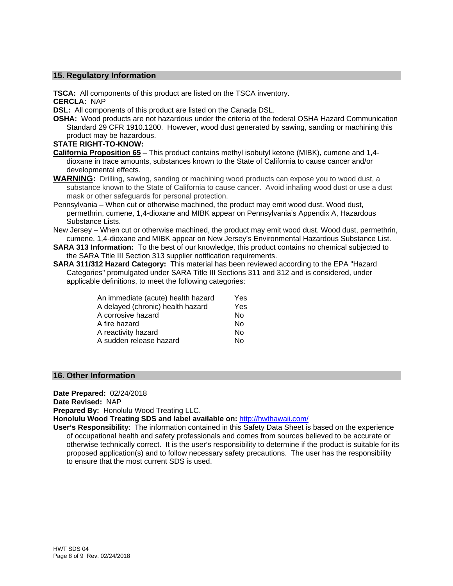#### **15. Regulatory Information**

**TSCA:** All components of this product are listed on the TSCA inventory.

**CERCLA:** NAP

**DSL:** All components of this product are listed on the Canada DSL.

**OSHA:** Wood products are not hazardous under the criteria of the federal OSHA Hazard Communication Standard 29 CFR 1910.1200. However, wood dust generated by sawing, sanding or machining this product may be hazardous.

#### **STATE RIGHT-TO-KNOW:**

- **California Proposition 65** This product contains methyl isobutyl ketone (MIBK), cumene and 1,4 dioxane in trace amounts, substances known to the State of California to cause cancer and/or developmental effects.
- **WARNING:** Drilling, sawing, sanding or machining wood products can expose you to wood dust, a substance known to the State of California to cause cancer. Avoid inhaling wood dust or use a dust mask or other safeguards for personal protection.
- Pennsylvania When cut or otherwise machined, the product may emit wood dust. Wood dust, permethrin, cumene, 1,4-dioxane and MIBK appear on Pennsylvania's Appendix A, Hazardous Substance Lists.
- New Jersey When cut or otherwise machined, the product may emit wood dust. Wood dust, permethrin, cumene, 1,4-dioxane and MIBK appear on New Jersey's Environmental Hazardous Substance List.
- **SARA 313 Information:** To the best of our knowledge, this product contains no chemical subjected to the SARA Title III Section 313 supplier notification requirements.
- **SARA 311/312 Hazard Category:** This material has been reviewed according to the EPA "Hazard Categories" promulgated under SARA Title III Sections 311 and 312 and is considered, under applicable definitions, to meet the following categories:

| An immediate (acute) health hazard | Yes |
|------------------------------------|-----|
| A delayed (chronic) health hazard  | Yes |
| A corrosive hazard                 | No  |
| A fire hazard                      | No  |
| A reactivity hazard                | No  |
| A sudden release hazard            | Nο  |
|                                    |     |

#### **16. Other Information**

**Date Prepared:** 02/24/2018

**Date Revised:** NAP

**Prepared By:** Honolulu Wood Treating LLC.

**Honolulu Wood Treating SDS and label available on:** http://hwthawaii.com/

**User's Responsibility**: The information contained in this Safety Data Sheet is based on the experience of occupational health and safety professionals and comes from sources believed to be accurate or otherwise technically correct. It is the user's responsibility to determine if the product is suitable for its proposed application(s) and to follow necessary safety precautions. The user has the responsibility to ensure that the most current SDS is used.